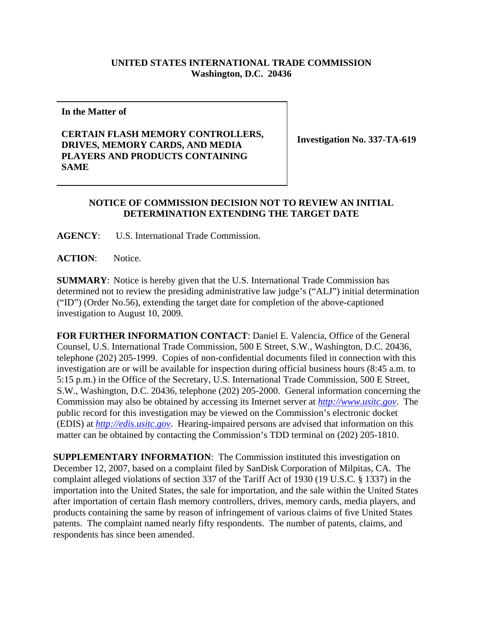## **UNITED STATES INTERNATIONAL TRADE COMMISSION Washington, D.C. 20436**

**In the Matter of** 

## **CERTAIN FLASH MEMORY CONTROLLERS, DRIVES, MEMORY CARDS, AND MEDIA PLAYERS AND PRODUCTS CONTAINING SAME**

**Investigation No. 337-TA-619**

## **NOTICE OF COMMISSION DECISION NOT TO REVIEW AN INITIAL DETERMINATION EXTENDING THE TARGET DATE**

**AGENCY**: U.S. International Trade Commission.

**ACTION**: Notice.

**SUMMARY**: Notice is hereby given that the U.S. International Trade Commission has determined not to review the presiding administrative law judge's ("ALJ") initial determination ("ID") (Order No.56), extending the target date for completion of the above-captioned investigation to August 10, 2009.

**FOR FURTHER INFORMATION CONTACT**: Daniel E. Valencia, Office of the General Counsel, U.S. International Trade Commission, 500 E Street, S.W., Washington, D.C. 20436, telephone (202) 205-1999. Copies of non-confidential documents filed in connection with this investigation are or will be available for inspection during official business hours (8:45 a.m. to 5:15 p.m.) in the Office of the Secretary, U.S. International Trade Commission, 500 E Street, S.W., Washington, D.C. 20436, telephone (202) 205-2000. General information concerning the Commission may also be obtained by accessing its Internet server at *http://www.usitc.gov*. The public record for this investigation may be viewed on the Commission's electronic docket (EDIS) at *http://edis.usitc.gov*. Hearing-impaired persons are advised that information on this matter can be obtained by contacting the Commission's TDD terminal on (202) 205-1810.

**SUPPLEMENTARY INFORMATION**: The Commission instituted this investigation on December 12, 2007, based on a complaint filed by SanDisk Corporation of Milpitas, CA. The complaint alleged violations of section 337 of the Tariff Act of 1930 (19 U.S.C. § 1337) in the importation into the United States, the sale for importation, and the sale within the United States after importation of certain flash memory controllers, drives, memory cards, media players, and products containing the same by reason of infringement of various claims of five United States patents. The complaint named nearly fifty respondents. The number of patents, claims, and respondents has since been amended.